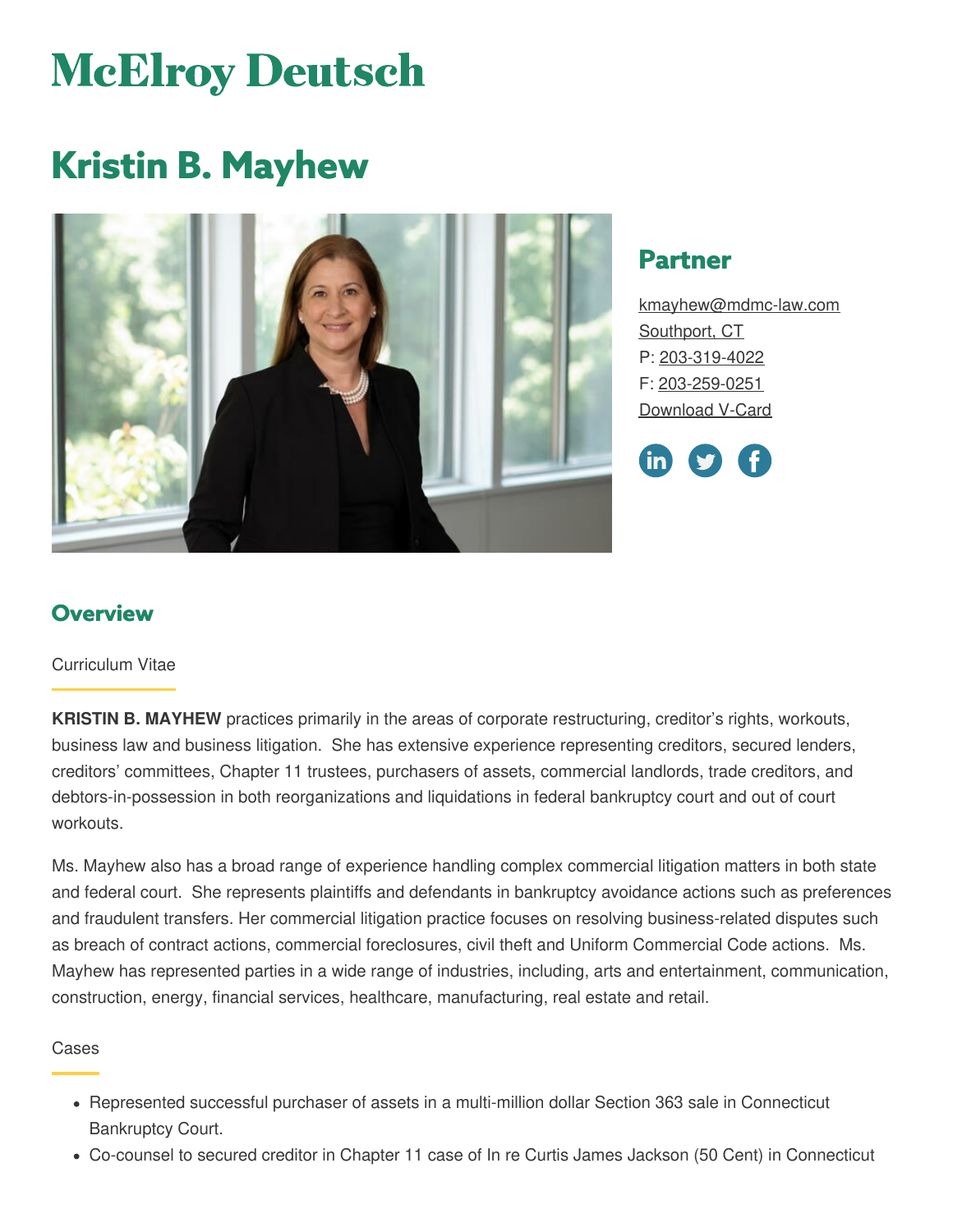# **McElroy Deutsch**

# **Kristin B. Mayhew**



# **Partner**

[kmayhew@mdmc-law.com](mailto:kmayhew@mdmc-law.com) [Southport,](https://www.mdmc-law.com/offices/southport) CT P: [203-319-4022](tel:203-319-4022) F: [203-259-0251](tel:203-259-0251) [Download](https://www.mdmc-law.com/node/314/vcard) V-Card



# **Overview**

#### Curriculum Vitae

**KRISTIN B. MAYHEW** practices primarily in the areas of corporate restructuring, creditor's rights, workouts, business law and business litigation. She has extensive experience representing creditors, secured lenders, creditors' committees, Chapter 11 trustees, purchasers of assets, commercial landlords, trade creditors, and debtors-in-possession in both reorganizations and liquidations in federal bankruptcy court and out of court workouts.

Ms. Mayhew also has a broad range of experience handling complex commercial litigation matters in both state and federal court. She represents plaintiffs and defendants in bankruptcy avoidance actions such as preferences and fraudulent transfers. Her commercial litigation practice focuses on resolving business-related disputes such as breach of contract actions, commercial foreclosures, civil theft and Uniform Commercial Code actions. Ms. Mayhew has represented parties in a wide range of industries, including, arts and entertainment, communication, construction, energy, financial services, healthcare, manufacturing, real estate and retail.

#### Cases

- Represented successful purchaser of assets in a multi-million dollar Section 363 sale in Connecticut Bankruptcy Court.
- Co-counsel to secured creditor in Chapter 11 case of In re Curtis James Jackson (50 Cent) in Connecticut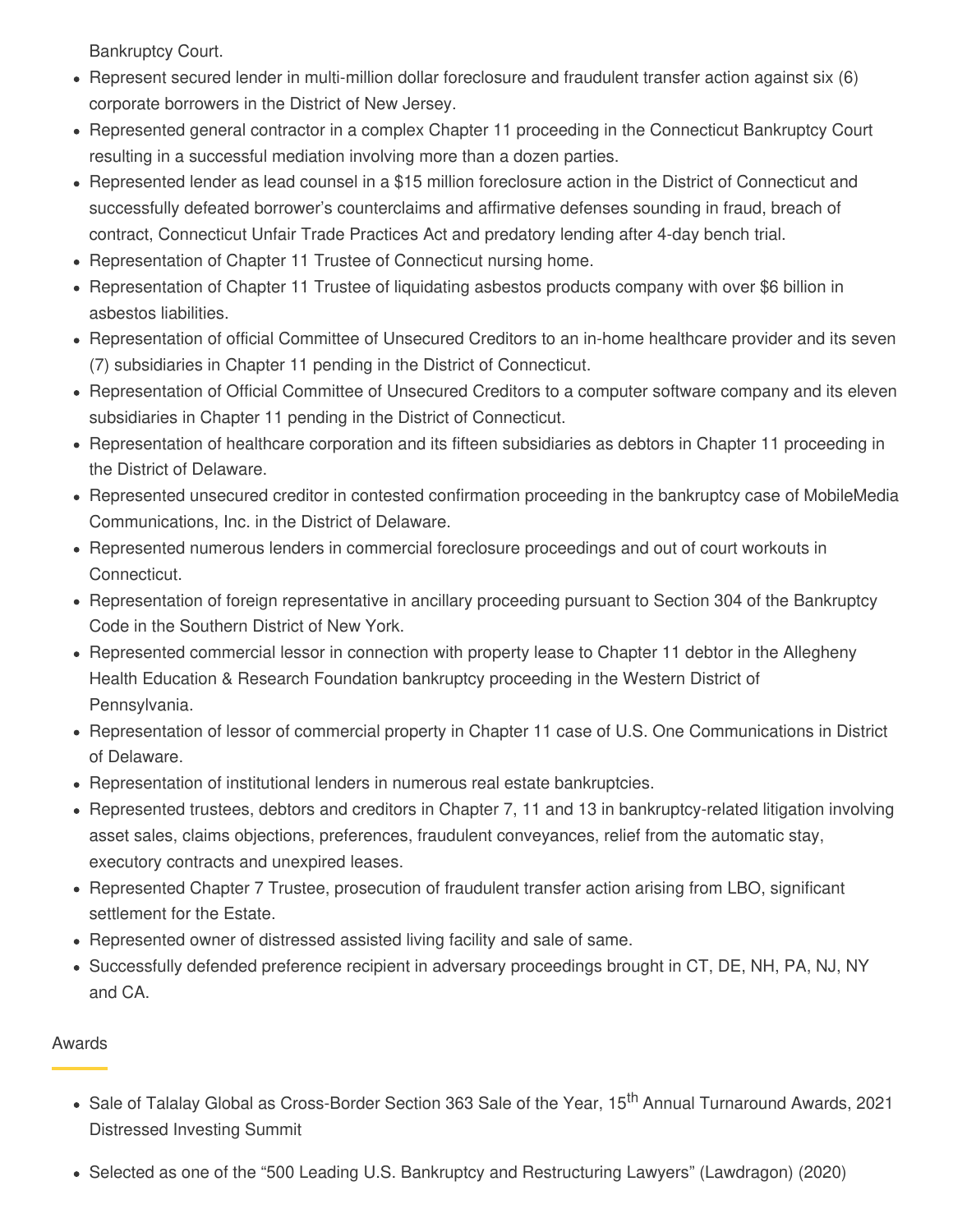Bankruptcy Court.

- Represent secured lender in multi-million dollar foreclosure and fraudulent transfer action against six (6) corporate borrowers in the District of New Jersey.
- Represented general contractor in a complex Chapter 11 proceeding in the Connecticut Bankruptcy Court resulting in a successful mediation involving more than a dozen parties.
- Represented lender as lead counsel in a \$15 million foreclosure action in the District of Connecticut and successfully defeated borrower's counterclaims and affirmative defenses sounding in fraud, breach of contract, Connecticut Unfair Trade Practices Act and predatory lending after 4-day bench trial.
- Representation of Chapter 11 Trustee of Connecticut nursing home.
- Representation of Chapter 11 Trustee of liquidating asbestos products company with over \$6 billion in asbestos liabilities.
- Representation of official Committee of Unsecured Creditors to an in-home healthcare provider and its seven (7) subsidiaries in Chapter 11 pending in the District of Connecticut.
- Representation of Official Committee of Unsecured Creditors to a computer software company and its eleven subsidiaries in Chapter 11 pending in the District of Connecticut.
- Representation of healthcare corporation and its fifteen subsidiaries as debtors in Chapter 11 proceeding in the District of Delaware.
- Represented unsecured creditor in contested confirmation proceeding in the bankruptcy case of MobileMedia Communications, Inc. in the District of Delaware.
- Represented numerous lenders in commercial foreclosure proceedings and out of court workouts in Connecticut.
- Representation of foreign representative in ancillary proceeding pursuant to Section 304 of the Bankruptcy Code in the Southern District of New York.
- Represented commercial lessor in connection with property lease to Chapter 11 debtor in the Allegheny Health Education & Research Foundation bankruptcy proceeding in the Western District of Pennsylvania.
- Representation of lessor of commercial property in Chapter 11 case of U.S. One Communications in District of Delaware.
- Representation of institutional lenders in numerous real estate bankruptcies.
- Represented trustees, debtors and creditors in Chapter 7, 11 and 13 in bankruptcy-related litigation involving asset sales, claims objections, preferences, fraudulent conveyances, relief from the automatic stay, executory contracts and unexpired leases.
- Represented Chapter 7 Trustee, prosecution of fraudulent transfer action arising from LBO, significant settlement for the Estate.
- Represented owner of distressed assisted living facility and sale of same.
- Successfully defended preference recipient in adversary proceedings brought in CT, DE, NH, PA, NJ, NY and CA.

#### Awards

- Sale of Talalay Global as Cross-Border Section 363 Sale of the Year, 15<sup>th</sup> Annual Turnaround Awards, 2021 Distressed Investing Summit
- Selected as one of the "500 Leading U.S. Bankruptcy and Restructuring Lawyers" (Lawdragon) (2020)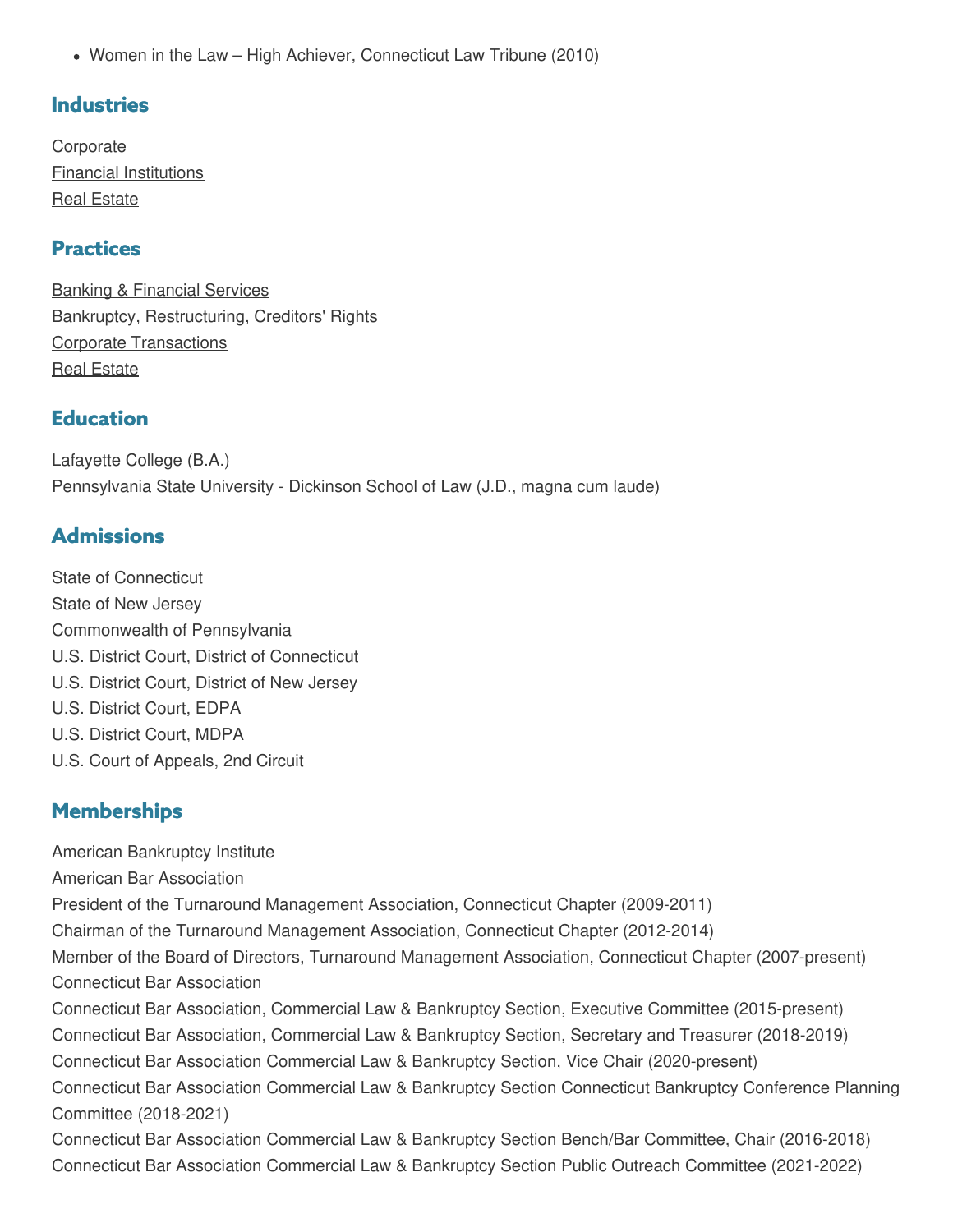Women in the Law – High Achiever, Connecticut Law Tribune (2010)

# **Industries**

**[Corporate](https://www.mdmc-law.com/industries/corporate)** Financial [Institutions](https://www.mdmc-law.com/industries/financial-institutions) Real [Estate](https://www.mdmc-law.com/industries/real-estate)

## **Practices**

Banking & [Financial](https://www.mdmc-law.com/practices/banking-financial-services) Services Bankruptcy, [Restructuring,](https://www.mdmc-law.com/practices/bankruptcy-restructuring-creditors-rights) Creditors' Rights Corporate [Transactions](https://www.mdmc-law.com/practices/corporate-transactions) Real [Estate](https://www.mdmc-law.com/practices/real-estate)

# **Education**

Lafayette College (B.A.) Pennsylvania State University - Dickinson School of Law (J.D., magna cum laude)

# **Admissions**

State of Connecticut State of New Jersey Commonwealth of Pennsylvania U.S. District Court, District of Connecticut U.S. District Court, District of New Jersey U.S. District Court, EDPA U.S. District Court, MDPA U.S. Court of Appeals, 2nd Circuit

# **Memberships**

American Bankruptcy Institute American Bar Association President of the Turnaround Management Association, Connecticut Chapter (2009-2011) Chairman of the Turnaround Management Association, Connecticut Chapter (2012-2014) Member of the Board of Directors, Turnaround Management Association, Connecticut Chapter (2007-present) Connecticut Bar Association Connecticut Bar Association, Commercial Law & Bankruptcy Section, Executive Committee (2015-present) Connecticut Bar Association, Commercial Law & Bankruptcy Section, Secretary and Treasurer (2018-2019) Connecticut Bar Association Commercial Law & Bankruptcy Section, Vice Chair (2020-present) Connecticut Bar Association Commercial Law & Bankruptcy Section Connecticut Bankruptcy Conference Planning Committee (2018-2021) Connecticut Bar Association Commercial Law & Bankruptcy Section Bench/Bar Committee, Chair (2016-2018) Connecticut Bar Association Commercial Law & Bankruptcy Section Public Outreach Committee (2021-2022)